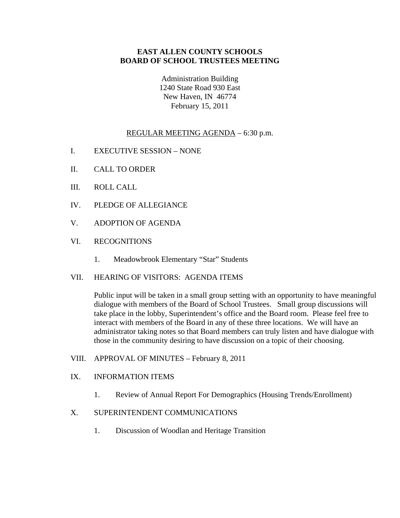## **EAST ALLEN COUNTY SCHOOLS BOARD OF SCHOOL TRUSTEES MEETING**

Administration Building 1240 State Road 930 East New Haven, IN 46774 February 15, 2011

# REGULAR MEETING AGENDA – 6:30 p.m.

- I. EXECUTIVE SESSION NONE
- II. CALL TO ORDER
- III. ROLL CALL
- IV. PLEDGE OF ALLEGIANCE
- V. ADOPTION OF AGENDA
- VI. RECOGNITIONS
	- 1. Meadowbrook Elementary "Star" Students

#### VII. HEARING OF VISITORS: AGENDA ITEMS

Public input will be taken in a small group setting with an opportunity to have meaningful dialogue with members of the Board of School Trustees. Small group discussions will take place in the lobby, Superintendent's office and the Board room. Please feel free to interact with members of the Board in any of these three locations. We will have an administrator taking notes so that Board members can truly listen and have dialogue with those in the community desiring to have discussion on a topic of their choosing.

VIII. APPROVAL OF MINUTES – February 8, 2011

#### IX. INFORMATION ITEMS

1. Review of Annual Report For Demographics (Housing Trends/Enrollment)

#### X. SUPERINTENDENT COMMUNICATIONS

1. Discussion of Woodlan and Heritage Transition